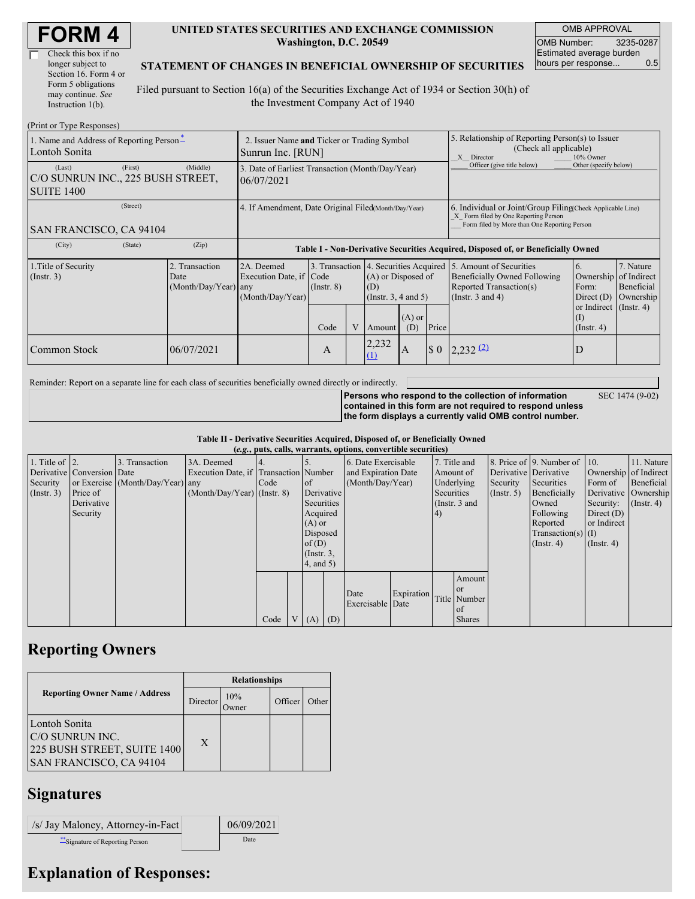| <b>FORM4</b> |
|--------------|
|--------------|

| Check this box if no  |
|-----------------------|
| longer subject to     |
| Section 16. Form 4 or |
| Form 5 obligations    |
| may continue. See     |
| Instruction 1(b).     |

#### **UNITED STATES SECURITIES AND EXCHANGE COMMISSION Washington, D.C. 20549**

OMB APPROVAL OMB Number: 3235-0287 Estimated average burden hours per response... 0.5

SEC 1474 (9-02)

#### **STATEMENT OF CHANGES IN BENEFICIAL OWNERSHIP OF SECURITIES**

Filed pursuant to Section 16(a) of the Securities Exchange Act of 1934 or Section 30(h) of the Investment Company Act of 1940

| (Print or Type Responses)                                                   |                                                                  |                                                                                                                                                                                                                |      |   |              |                                                                                                                    |                                                                                                                                                    |                                                     |                  |  |
|-----------------------------------------------------------------------------|------------------------------------------------------------------|----------------------------------------------------------------------------------------------------------------------------------------------------------------------------------------------------------------|------|---|--------------|--------------------------------------------------------------------------------------------------------------------|----------------------------------------------------------------------------------------------------------------------------------------------------|-----------------------------------------------------|------------------|--|
| 1. Name and Address of Reporting Person-<br>Lontoh Sonita                   | 2. Issuer Name and Ticker or Trading Symbol<br>Sunrun Inc. [RUN] |                                                                                                                                                                                                                |      |   |              |                                                                                                                    | 5. Relationship of Reporting Person(s) to Issuer<br>(Check all applicable)<br>10% Owner<br>X Director                                              |                                                     |                  |  |
| (First)<br>(Last)<br>C/O SUNRUN INC., 225 BUSH STREET,<br><b>SUITE 1400</b> | 3. Date of Earliest Transaction (Month/Day/Year)<br>06/07/2021   |                                                                                                                                                                                                                |      |   |              |                                                                                                                    | Officer (give title below)                                                                                                                         | Other (specify below)                               |                  |  |
| (Street)<br>SAN FRANCISCO, CA 94104                                         | 4. If Amendment, Date Original Filed(Month/Day/Year)             |                                                                                                                                                                                                                |      |   |              |                                                                                                                    | 6. Individual or Joint/Group Filing Check Applicable Line)<br>X Form filed by One Reporting Person<br>Form filed by More than One Reporting Person |                                                     |                  |  |
| (City)<br>(State)                                                           | (Zip)                                                            | Table I - Non-Derivative Securities Acquired, Disposed of, or Beneficially Owned                                                                                                                               |      |   |              |                                                                                                                    |                                                                                                                                                    |                                                     |                  |  |
| 1. Title of Security<br>$($ Instr. 3 $)$                                    | 2. Transaction<br>Date                                           | 3. Transaction 4. Securities Acquired<br>2A. Deemed<br>Execution Date, if Code<br>(A) or Disposed of<br>(Month/Day/Year) any<br>$($ Instr. $8)$<br>(D)<br>(Month/Day/Year)<br>(Insert. 3, 4 and 5)<br>$(A)$ or |      |   |              | 5. Amount of Securities<br><b>Beneficially Owned Following</b><br>Reported Transaction(s)<br>(Instr. $3$ and $4$ ) | 6.<br>Ownership<br>Form:<br>Direct $(D)$<br>or Indirect $($ Instr. 4 $)$<br>(1)                                                                    | 7. Nature<br>of Indirect<br>Beneficial<br>Ownership |                  |  |
|                                                                             |                                                                  |                                                                                                                                                                                                                | Code | V | Amount       | (D)                                                                                                                | Price                                                                                                                                              |                                                     | $($ Instr. 4 $)$ |  |
| Common Stock                                                                | 06/07/2021                                                       |                                                                                                                                                                                                                | A    |   | 2,232<br>(1) | A                                                                                                                  | $\sqrt{5}0$                                                                                                                                        | $2,232$ $(2)$                                       | D                |  |

Reminder: Report on a separate line for each class of securities beneficially owned directly or indirectly.

**Persons who respond to the collection of information contained in this form are not required to respond unless the form displays a currently valid OMB control number.**

**Table II - Derivative Securities Acquired, Disposed of, or Beneficially Owned**

| (e.g., puts, calls, warrants, options, convertible securities) |                            |                                  |                                       |      |                |                 |  |                     |            |               |               |                  |                              |                       |                  |
|----------------------------------------------------------------|----------------------------|----------------------------------|---------------------------------------|------|----------------|-----------------|--|---------------------|------------|---------------|---------------|------------------|------------------------------|-----------------------|------------------|
| 1. Title of $\vert$ 2.                                         |                            | 3. Transaction                   | 3A. Deemed                            |      |                |                 |  | 6. Date Exercisable |            |               | 7. Title and  |                  | 8. Price of 9. Number of 10. |                       | 11. Nature       |
|                                                                | Derivative Conversion Date |                                  | Execution Date, if Transaction Number |      |                |                 |  | and Expiration Date |            | Amount of     |               |                  | Derivative Derivative        | Ownership of Indirect |                  |
| Security                                                       |                            | or Exercise (Month/Day/Year) any |                                       | Code |                | of              |  | (Month/Day/Year)    |            | Underlying    |               | Security         | Securities                   | Form of               | Beneficial       |
| $($ Instr. 3 $)$                                               | Price of                   |                                  | $(Month/Day/Year)$ (Instr. 8)         |      |                | Derivative      |  |                     |            | Securities    |               | $($ Instr. 5 $)$ | Beneficially                 | Derivative Ownership  |                  |
|                                                                | Derivative                 |                                  |                                       |      |                | Securities      |  |                     |            | (Instr. 3 and |               |                  | Owned                        | Security:             | $($ Instr. 4 $)$ |
|                                                                | Security                   |                                  |                                       |      |                | Acquired        |  |                     |            | 4)            |               |                  | Following                    | Direct $(D)$          |                  |
|                                                                |                            |                                  |                                       |      |                | $(A)$ or        |  |                     |            |               |               |                  | Reported                     | or Indirect           |                  |
|                                                                |                            |                                  |                                       |      |                | Disposed        |  |                     |            |               |               |                  | $Transaction(s)$ (I)         |                       |                  |
|                                                                |                            |                                  |                                       |      |                | of(D)           |  |                     |            |               |               |                  | $($ Instr. 4 $)$             | $($ Instr. 4 $)$      |                  |
|                                                                |                            |                                  |                                       |      |                | $($ Instr. $3,$ |  |                     |            |               |               |                  |                              |                       |                  |
|                                                                |                            |                                  |                                       |      |                | $4$ , and $5$ ) |  |                     |            |               |               |                  |                              |                       |                  |
|                                                                |                            |                                  |                                       |      |                |                 |  |                     |            |               | Amount        |                  |                              |                       |                  |
|                                                                |                            |                                  |                                       |      |                |                 |  | Date                |            |               | <sub>or</sub> |                  |                              |                       |                  |
|                                                                |                            |                                  |                                       |      |                |                 |  | Exercisable Date    | Expiration |               | Title Number  |                  |                              |                       |                  |
|                                                                |                            |                                  |                                       |      |                |                 |  |                     |            |               | of of         |                  |                              |                       |                  |
|                                                                |                            |                                  |                                       | Code | V <sub>1</sub> | $(A)$ $(D)$     |  |                     |            |               | <b>Shares</b> |                  |                              |                       |                  |

### **Reporting Owners**

|                                                                                             | <b>Relationships</b> |                      |         |       |  |  |  |  |
|---------------------------------------------------------------------------------------------|----------------------|----------------------|---------|-------|--|--|--|--|
| <b>Reporting Owner Name / Address</b>                                                       | Director             | 10%<br><b>)</b> wner | Officer | Other |  |  |  |  |
| Lontoh Sonita<br>IC/O SUNRUN INC.<br>225 BUSH STREET, SUITE 1400<br>SAN FRANCISCO, CA 94104 | X                    |                      |         |       |  |  |  |  |

## **Signatures**

| /s/ Jay Maloney, Attorney-in-Fact | 06/09/2021 |
|-----------------------------------|------------|
| Signature of Reporting Person     | Date       |

# **Explanation of Responses:**